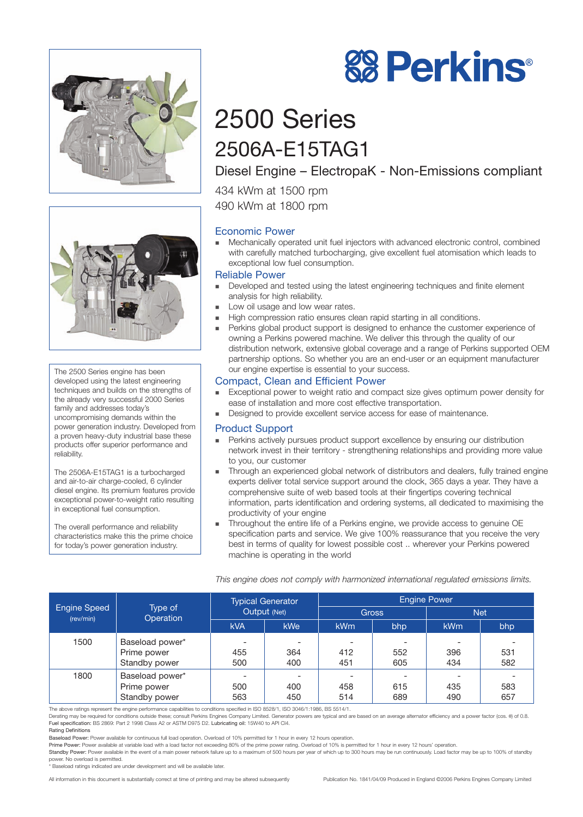



The 2500 Series engine has been developed using the latest engineering techniques and builds on the strengths of the already very successful 2000 Series family and addresses today's uncompromising demands within the power generation industry. Developed from a proven heavy-duty industrial base these products offer superior performance and reliability.

The 2506A-E15TAG1 is a turbocharged and air-to-air charge-cooled, 6 cylinder diesel engine. Its premium features provide exceptional power-to-weight ratio resulting in exceptional fuel consumption.

The overall performance and reliability characteristics make this the prime choice for today's power generation industry.

# 2500 Series 2506A-E15TAG1

# Diesel Engine – ElectropaK - Non-Emissions compliant

**88 Perkins®** 

434 kWm at 1500 rpm 490 kWm at 1800 rpm

# Economic Power

- Mechanically operated unit fuel injectors with advanced electronic control, combined with carefully matched turbocharging, give excellent fuel atomisation which leads to exceptional low fuel consumption.

## Reliable Power

- - Developed and tested using the latest engineering techniques and finite element analysis for high reliability.
- -Low oil usage and low wear rates.
- -High compression ratio ensures clean rapid starting in all conditions.
- - Perkins global product support is designed to enhance the customer experience of owning a Perkins powered machine. We deliver this through the quality of our distribution network, extensive global coverage and a range of Perkins supported OEM partnership options. So whether you are an end-user or an equipment manufacturer our engine expertise is essential to your success.

# Compact, Clean and Efficient Power

- - Exceptional power to weight ratio and compact size gives optimum power density for ease of installation and more cost effective transportation.
- -Designed to provide excellent service access for ease of maintenance.

### Product Support

- - Perkins actively pursues product support excellence by ensuring our distribution network invest in their territory - strengthening relationships and providing more value to you, our customer
- - Through an experienced global network of distributors and dealers, fully trained engine experts deliver total service support around the clock, 365 days a year. They have a comprehensive suite of web based tools at their fingertips covering technical information, parts identification and ordering systems, all dedicated to maximising the productivity of your engine
- - Throughout the entire life of a Perkins engine, we provide access to genuine OE specification parts and service. We give 100% reassurance that you receive the very best in terms of quality for lowest possible cost .. wherever your Perkins powered machine is operating in the world

| This engine does not comply with harmonized international regulated emissions limits. |  |  |  |  |
|---------------------------------------------------------------------------------------|--|--|--|--|
|                                                                                       |  |  |  |  |

|                           |                      | <b>Typical Generator</b><br>Output (Net) |                          | <b>Engine Power</b> |     |            |     |  |
|---------------------------|----------------------|------------------------------------------|--------------------------|---------------------|-----|------------|-----|--|
| Engine Speed<br>(rev/min) | Type of<br>Operation |                                          |                          | <b>Gross</b>        |     | <b>Net</b> |     |  |
|                           |                      | <b>kVA</b>                               | <b>kWe</b>               | kW <sub>m</sub>     | bhp | kWm        | bhp |  |
| 1500                      | Baseload power*      |                                          | $\overline{\phantom{a}}$ |                     |     |            |     |  |
|                           | Prime power          | 455                                      | 364                      | 412                 | 552 | 396        | 531 |  |
|                           | Standby power        | 500                                      | 400                      | 451                 | 605 | 434        | 582 |  |
| 1800                      | Baseload power*      |                                          |                          |                     |     |            |     |  |
|                           | Prime power          | 500                                      | 400                      | 458                 | 615 | 435        | 583 |  |
|                           | Standby power        | 563                                      | 450                      | 514                 | 689 | 490        | 657 |  |

The above ratings represent the engine performance capabilities to conditions specified in ISO 8528/1, ISO 3046/1:1986, BS 5514/1.

Derating may be required for conditions outside these; consult Perkins Engines Company Limited. Generator powers are typical and are based on an average alternator efficiency and a power factor (cos. θ) of 0.8. Fuel specification: BS 2869: Part 2 1998 Class A2 or ASTM D975 D2. Lubricating oil: 15W40 to API CI4. Rating Definitions

Baseload Power: Power available for continuous full load operation. Overload of 10% permitted for 1 hour in every 12 hours operation.

Prime Power: Power available at variable load with a load factor not exceeding 80% of the prime power rating. Overload of 10% is permitted for 1 hour in every 12 hours' operation.

Standby Power: Power available in the event of a main power network failure up to a maximum of 500 hours per year of which up to 300 hours may be run continuously. Load factor may be up to 100% of standby power. No overload is permitted.

\* Baseload ratings indicated are under development and will be available later.

All information in this document is substantially correct at time of printing and may be altered subsequently Publication No. 1841/04/09 Produced in England ©2006 Perkins Engines Company Limited